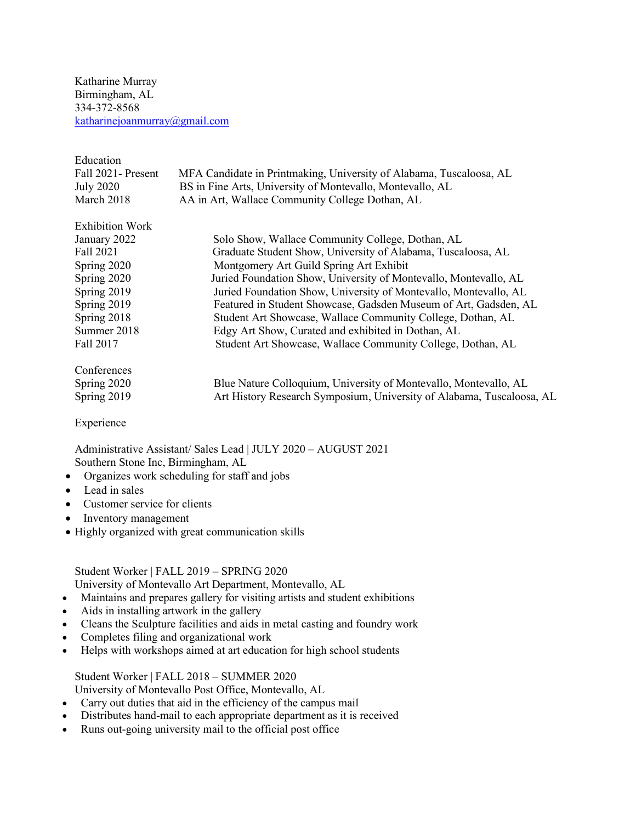Katharine Murray Birmingham, AL 334-372-8568 [katharinejoanmurray@gmail.com](mailto:katharinejoanmurray@gmail.com)

| Education              |                                                                       |
|------------------------|-----------------------------------------------------------------------|
| Fall 2021- Present     | MFA Candidate in Printmaking, University of Alabama, Tuscaloosa, AL   |
| <b>July 2020</b>       | BS in Fine Arts, University of Montevallo, Montevallo, AL             |
| March 2018             | AA in Art, Wallace Community College Dothan, AL                       |
| <b>Exhibition Work</b> |                                                                       |
| January 2022           | Solo Show, Wallace Community College, Dothan, AL                      |
| Fall 2021              | Graduate Student Show, University of Alabama, Tuscaloosa, AL          |
| Spring 2020            | Montgomery Art Guild Spring Art Exhibit                               |
| Spring 2020            | Juried Foundation Show, University of Montevallo, Montevallo, AL      |
| Spring 2019            | Juried Foundation Show, University of Montevallo, Montevallo, AL      |
| Spring 2019            | Featured in Student Showcase, Gadsden Museum of Art, Gadsden, AL      |
| Spring 2018            | Student Art Showcase, Wallace Community College, Dothan, AL           |
| Summer 2018            | Edgy Art Show, Curated and exhibited in Dothan, AL                    |
| Fall 2017              | Student Art Showcase, Wallace Community College, Dothan, AL           |
| Conferences            |                                                                       |
| Spring 2020            | Blue Nature Colloquium, University of Montevallo, Montevallo, AL      |
| Spring 2019            | Art History Research Symposium, University of Alabama, Tuscaloosa, AL |
|                        |                                                                       |

Experience

Administrative Assistant/ Sales Lead | JULY 2020 – AUGUST 2021 Southern Stone Inc, Birmingham, AL

- Organizes work scheduling for staff and jobs
- Lead in sales
- Customer service for clients
- Inventory management
- Highly organized with great communication skills

Student Worker | FALL 2019 – SPRING 2020 University of Montevallo Art Department, Montevallo, AL

- Maintains and prepares gallery for visiting artists and student exhibitions
- Aids in installing artwork in the gallery
- Cleans the Sculpture facilities and aids in metal casting and foundry work
- Completes filing and organizational work
- Helps with workshops aimed at art education for high school students

Student Worker | FALL 2018 – SUMMER 2020 University of Montevallo Post Office, Montevallo, AL

- Carry out duties that aid in the efficiency of the campus mail
- Distributes hand-mail to each appropriate department as it is received
- Runs out-going university mail to the official post office